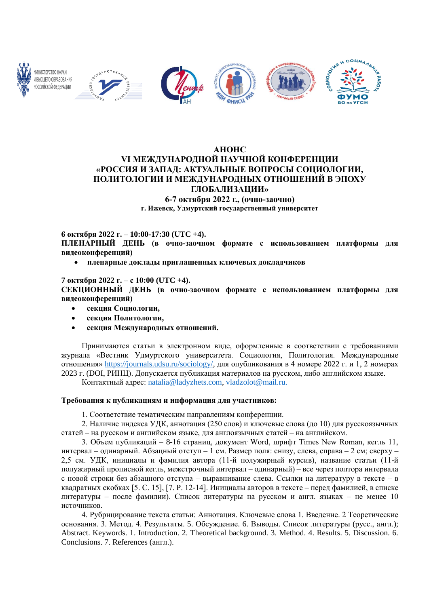

# **АНОНС VI МЕЖДУНАРОДНОЙ НАУЧНОЙ КОНФЕРЕНЦИИ «РОССИЯ И ЗАПАД: АКТУАЛЬНЫЕ ВОПРОСЫ СОЦИОЛОГИИ, ПОЛИТОЛОГИИ И МЕЖДУНАРОДНЫХ ОТНОШЕНИЙ В ЭПОХУ ГЛОБАЛИЗАЦИИ» 6-7 октября 2022 г., (очно-заочно)**

**г. Ижевск, Удмуртский государственный университет** 

**6 октября 2022 г. – 10:00-17:30 (UTC +4).**

**ПЛЕНАРНЫЙ ДЕНЬ (в очно-заочном формате с использованием платформы для видеоконференций)**

• **пленарные доклады приглашенных ключевых докладчиков**

**7 октября 2022 г. – с 10:00 (UTC +4).**

**СЕКЦИОННЫЙ ДЕНЬ (в очно-заочном формате с использованием платформы для видеоконференций)**

- **секция Социологии,**
- **секция Политологии,**
- **секция Международных отношений.**

Принимаются статьи в электронном виде, оформленные в соответствии с требованиями журнала «Вестник Удмуртского университета. Социология, Политология. Международные отношения» [https://journals.udsu.ru/sociology/,](https://journals.udsu.ru/sociology/) для опубликования в 4 номере 2022 г. и 1, 2 номерах 2023 г. (DOI, РИНЦ). Допускается публикация материалов на русском, либо английском языке.

Контактный адрес: [natalia@ladyzhets.com,](mailto:natalia@ladyzhets.com) [vladzolot@mail.ru.](mailto:vladzolot@mail.ru)

## **Требования к публикациям и информация для участников:**

1. Соответствие тематическим направлениям конференции.

2. Наличие индекса УДК, аннотация (250 слов) и ключевые слова (до 10) для русскоязычных статей – на русском и английском языке, для англоязычных статей – на английском.

3. Объем публикаций – 8-16 страниц, документ Word, шрифт Times New Roman, кегль 11, интервал – одинарный. Абзацный отступ – 1 см. Размер поля: снизу, слева, справа – 2 см; сверху – 2,5 см. УДК, инициалы и фамилия автора (11-й полужирный курсив), название статьи (11-й полужирный прописной кегль, межстрочный интервал – одинарный) – все через полтора интервала с новой строки без абзацного отступа – выравнивание слева. Ссылки на литературу в тексте – в квадратных скобках [5. С. 15], [7. P. 12-14]. Инициалы авторов в тексте – перед фамилией, в списке литературы – после фамилии). Список литературы на русском и англ. языках – не менее 10 источников.

4. Рубрицирование текста статьи: Аннотация. Ключевые слова 1. Введение. 2 Теоретические основания. 3. Метод. 4. Результаты. 5. Обсуждение. 6. Выводы. Список литературы (русс., англ.); Abstract. Keywords. 1. Introduction. 2. Theoretical background. 3. Method. 4. Results. 5. Discussion. 6. Conclusions. 7. References (англ.).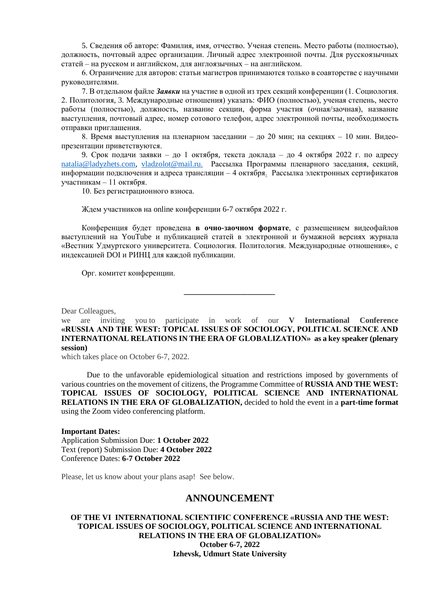5. Сведения об авторе: Фамилия, имя, отчество. Ученая степень. Место работы (полностью), должность, почтовый адрес организации. Личный адрес электронной почты. Для русскоязычных статей – на русском и английском, для англоязычных – на английском.

6. Ограничение для авторов: статьи магистров принимаются только в соавторстве с научными руководителями.

7. В отдельном файле *Заявки* на участие в одной из трех секций конференции (1. Социология. 2. Политология, 3. Международные отношения) указать: ФИО (полностью), ученая степень, место работы (полностью), должность, название секции, форма участия (очная/заочная), название выступления, почтовый адрес, номер сотового телефон, адрес электронной почты, необходимость отправки приглашения.

8. Время выступления на пленарном заседании – до 20 мин; на секциях – 10 мин. Видеопрезентации приветствуются.

9. Срок подачи заявки – до 1 октября, текста доклада – до 4 октября 2022 г. по адресу [natalia@ladyzhets.com,](mailto:natalia@ladyzhets.com) [vladzolot@mail.ru.](mailto:vladzolot@mail.ru) Рассылка Программы пленарного заседания, секций, информации подключения и адреса трансляции – 4 октября. Рассылка электронных сертификатов участникам – 11 октября.

10. Без регистрационного взноса.

Ждем участников на online конференции 6-7 октября 2022 г.

Конференция будет проведена **в очно-заочном формате**, с размещением видеофайлов выступлений на YouTube и публикацией статей в электронной и бумажной версиях журнала «Вестник Удмуртского университета. Социология. Политология. Международные отношения», с индексацией DOI и РИНЦ для каждой публикации.

Орг. комитет конференции.

Dear Colleagues,

we are inviting you to participate in work of our **V International Conference «RUSSIA AND THE WEST: TOPICAL ISSUES OF SOCIOLOGY, POLITICAL SCIENCE AND INTERNATIONAL RELATIONS IN THE ERA OF GLOBALIZATION» as a key speaker (plenary session)**

**\_\_\_\_\_\_\_\_\_\_\_\_\_\_\_\_\_\_\_\_\_\_\_**

which takes place on October 6-7, 2022.

Due to the unfavorable epidemiological situation and restrictions imposed by governments of various countries on the movement of citizens, the Programme Committee of **RUSSIA AND THE WEST: TOPICAL ISSUES OF SOCIOLOGY, POLITICAL SCIENCE AND INTERNATIONAL RELATIONS IN THE ERA OF GLOBALIZATION,** decided to hold the event in a **part-time format** using the Zoom video conferencing platform.

#### **Important Dates:**

Application Submission Due: **1 October 2022** Text (report) Submission Due: **4 October 2022** Conference Dates: **6-7 October 2022**

Please, let us know about your plans asap! See below.

## **ANNOUNCEMENT**

### **OF THE VI INTERNATIONAL SCIENTIFIC CONFERENCE «RUSSIA AND THE WEST: TOPICAL ISSUES OF SOCIOLOGY, POLITICAL SCIENCE AND INTERNATIONAL RELATIONS IN THE ERA OF GLOBALIZATION» October 6-7, 2022 Izhevsk, Udmurt State University**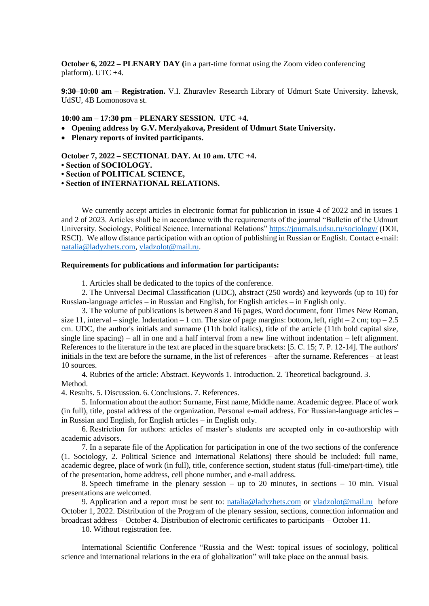**October 6, 2022 – PLENARY DAY (**in a part-time format using the Zoom video conferencing platform). UTC  $+4$ .

**9:30–10:00 am – Registration.** V.I. Zhuravlev Research Library of Udmurt State University. Izhevsk, UdSU, 4B Lomonosova st.

**10:00 am – 17:30 pm – PLENARY SESSION. UTC +4.**

- **Opening address by G.V. Merzlyakova, President of Udmurt State University.**
- **Plenary reports of invited participants.**

**October 7, 2022 – SECTIONAL DAY. Аt 10 am. UTC +4.**

- **Section of SOCIOLOGY.**
- **Section of POLITICAL SCIENCE,**

**• Section of INTERNATIONAL RELATIONS.**

We currently accept articles in electronic format for publication in issue 4 of 2022 and in issues 1 and 2 of 2023. Articles shall be in accordance with the requirements of the journal "Bulletin of the Udmurt University. Sociology, Political Science. International Relations" <https://journals.udsu.ru/sociology/> (DOI, RSCI). We allow distance participation with an option of publishing in Russian or English. Contact e-mail: [natalia@ladyzhets.com,](mailto:natalia@ladyzhets.com) [vladzolot@mail.ru.](mailto:vladzolot@mail.ru)

### **Requirements for publications and information for participants:**

1. Articles shall be dedicated to the topics of the conference.

2. The Universal Decimal Classification (UDC), abstract (250 words) and keywords (up to 10) for Russian-language articles – in Russian and English, for English articles – in English only.

3. The volume of publications is between 8 and 16 pages, Word document, font Times New Roman, size 11, interval – single. Indentation – 1 cm. The size of page margins: bottom, left, right – 2 cm; top – 2.5 cm. UDC, the author's initials and surname (11th bold italics), title of the article (11th bold capital size, single line spacing) – all in one and a half interval from a new line without indentation – left alignment. References to the literature in the text are placed in the square brackets: [5. С. 15; 7. P. 12-14]. The authors' initials in the text are before the surname, in the list of references – after the surname. References – at least 10 sources.

4. Rubrics of the article: Abstract. Keywords 1. Introduction. 2. Theoretical background. 3. Method.

4. Results. 5. Discussion. 6. Conclusions. 7. References.

5. Information about the author: Surname, First name, Middle name. Academic degree. Place of work (in full), title, postal address of the organization. Personal e-mail address. For Russian-language articles – in Russian and English, for English articles – in English only.

6. Restriction for authors: articles of master's students are accepted only in co-authorship with academic advisors.

7. In a separate file of the Application for participation in one of the two sections of the conference (1. Sociology, 2. Political Science and International Relations) there should be included: full name, academic degree, place of work (in full), title, conference section, student status (full-time/part-time), title of the presentation, home address, cell phone number, and e-mail address.

8. Speech timeframe in the plenary session – up to 20 minutes, in sections – 10 min. Visual presentations are welcomed.

9. Application and a report must be sent to: [natalia@ladyzhets.com](mailto:natalia@ladyzhets.com) or [vladzolot@mail.ru](mailto:vladzolot@mail.ru) before October 1, 2022. Distribution of the Program of the plenary session, sections, connection information and broadcast address – October 4. Distribution of electronic certificates to participants – October 11.

10. Without registration fee.

International Scientific Conference "Russia and the West: topical issues of sociology, political science and international relations in the era of globalization" will take place on the annual basis.